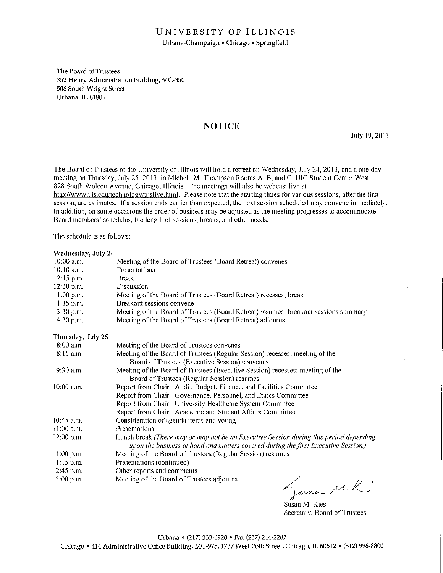#### UNIVERSITY OF ILLINOIS Urbana-Champaign • Chicago • Springfield

The Board of Trustees 352 Henry Administration Building, MC-350 506 South Wright Street Urbana, IL 61801

#### **NOTICE**

July 19, 2013

The Board of Trustees of the University of Illinois will hold a retreat on Wednesday, July 24, 2013, and a one-day meeting on Thursday, July 25, 2013, in Michele M. Thompson Rooms A, B, and C, UIC Student Center West, 828 South Wolcott Avenue, Chicago, Illinois. The meetings will also be webcast live at http://www.uis.edu/technology/uislive.html. Please note that the starting times for various sessions, after the first session, are estimates. If a session ends earlier than expected, the next session scheduled may convene immediately. In addition, on some occasions the order of business may be adjusted as the meeting progresses to accommodate Board members' schedules, the length of sessions, breaks, and other needs.

The schedule is as follows:

#### Wednesday, July 24

| 10:00 a.m.        | Meeting of the Board of Trustees (Board Retreat) convenes                                                                                                                    |
|-------------------|------------------------------------------------------------------------------------------------------------------------------------------------------------------------------|
| $10:10$ a.m.      | Presentations                                                                                                                                                                |
| 12:15 p.m.        | <b>Break</b>                                                                                                                                                                 |
| 12:30 p.m.        | Discussion                                                                                                                                                                   |
| $1:00$ p.m.       | Meeting of the Board of Trustees (Board Retreat) recesses; break                                                                                                             |
| $1:15$ p.m.       | Breakout sessions convene                                                                                                                                                    |
| 3:30 p.m.         | Meeting of the Board of Trustees (Board Retreat) resumes; breakout sessions summary                                                                                          |
| 4:30 p.m.         | Meeting of the Board of Trustees (Board Retreat) adjourns                                                                                                                    |
| Thursday, July 25 |                                                                                                                                                                              |
| 8:00 a.m.         | Meeting of the Board of Trustees convenes                                                                                                                                    |
| $8:15$ a.m.       | Meeting of the Board of Trustees (Regular Session) recesses; meeting of the                                                                                                  |
|                   | Board of Trustees (Executive Session) convenes                                                                                                                               |
| $9:30$ a.m.       | Meeting of the Board of Trustees (Executive Session) recesses; meeting of the<br>Board of Trustees (Regular Session) resumes                                                 |
| $10:00$ a.m.      | Report from Chair: Audit, Budget, Finance, and Facilities Committee                                                                                                          |
|                   | Report from Chair: Governance, Personnel, and Ethics Committee                                                                                                               |
|                   | Report from Chair: University Healthcare System Committee                                                                                                                    |
|                   | Report from Chair: Academic and Student Affairs Committee                                                                                                                    |
| $10:45$ a.m.      | Consideration of agenda items and voting                                                                                                                                     |
| $11:00$ a.m.      | Presentations                                                                                                                                                                |
| $12:00$ p.m.      | Lunch break (There may or may not be an Executive Session during this period depending<br>upon the business at hand and matters covered during the first Executive Session.) |
| $1:00$ p.m.       | Meeting of the Board of Trustees (Regular Session) resumes                                                                                                                   |
| $1:15$ p.m.       | Presentations (continued)                                                                                                                                                    |
| 2:45 p.m.         | Other reports and comments                                                                                                                                                   |
| 3:00 p.m.         | Meeting of the Board of Trustees adjourns<br>Sure MK                                                                                                                         |

Susan M. Kies Secretary, Board of Trustees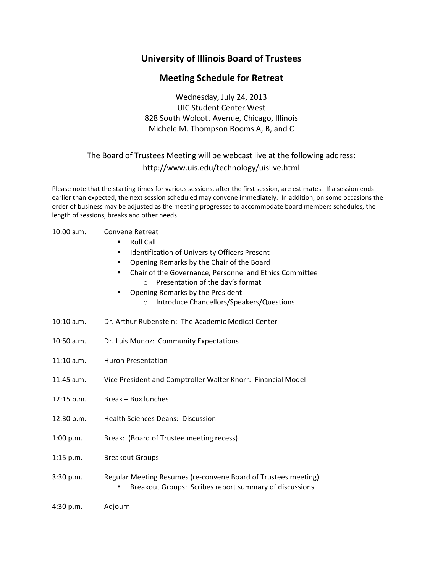## **University of Illinois Board of Trustees**

### **Meeting Schedule for Retreat**

Wednesday, July 24, 2013 UIC Student Center West 828 South Wolcott Avenue, Chicago, Illinois Michele M. Thompson Rooms A, B, and C

### The Board of Trustees Meeting will be webcast live at the following address: http://www.uis.edu/technology/uislive.html

Please note that the starting times for various sessions, after the first session, are estimates. If a session ends earlier than expected, the next session scheduled may convene immediately. In addition, on some occasions the order of business may be adjusted as the meeting progresses to accommodate board members schedules, the length of sessions, breaks and other needs.

#### 10:00 a.m. Convene Retreat

- Roll Call
- Identification of University Officers Present
- Opening Remarks by the Chair of the Board
- Chair of the Governance, Personnel and Ethics Committee  $\circ$  Presentation of the day's format
- Opening Remarks by the President
	- o Introduce Chancellors/Speakers/Questions
- 10:10 a.m. Dr. Arthur Rubenstein: The Academic Medical Center
- 10:50 a.m. Dr. Luis Munoz: Community Expectations
- 11:10 a.m. Huron Presentation
- 11:45 a.m. Vice President and Comptroller Walter Knorr: Financial Model
- 12:15 p.m. Break Box lunches
- 12:30 p.m. Health Sciences Deans: Discussion
- 1:00 p.m. Break: (Board of Trustee meeting recess)
- 1:15 p.m. Breakout Groups
- 3:30 p.m. Regular Meeting Resumes (re-convene Board of Trustees meeting) • Breakout Groups: Scribes report summary of discussions
- 4:30 p.m. Adjourn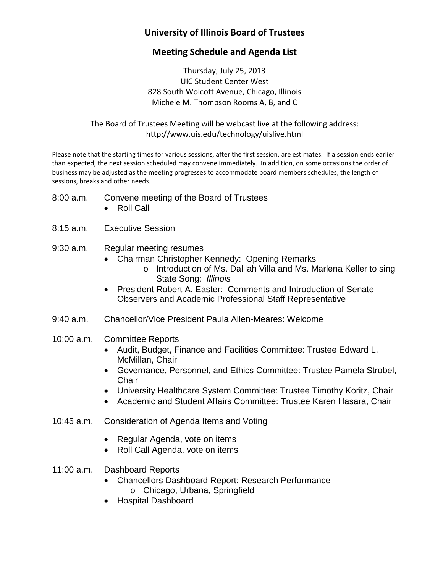# **University of Illinois Board of Trustees**

## **Meeting Schedule and Agenda List**

Thursday, July 25, 2013 UIC Student Center West 828 South Wolcott Avenue, Chicago, Illinois Michele M. Thompson Rooms A, B, and C

The Board of Trustees Meeting will be webcast live at the following address: <http://www.uis.edu/technology/uislive.html>

Please note that the starting times for various sessions, after the first session, are estimates. If a session ends earlier than expected, the next session scheduled may convene immediately. In addition, on some occasions the order of business may be adjusted as the meeting progresses to accommodate board members schedules, the length of sessions, breaks and other needs.

- 8:00 a.m. Convene meeting of the Board of Trustees
	- Roll Call
- 8:15 a.m. Executive Session
- 9:30 a.m. Regular meeting resumes
	- Chairman Christopher Kennedy: Opening Remarks
		- o Introduction of Ms. Dalilah Villa and Ms. Marlena Keller to sing State Song: *Illinois*
	- President Robert A. Easter: Comments and Introduction of Senate Observers and Academic Professional Staff Representative
- 9:40 a.m. Chancellor/Vice President Paula Allen-Meares: Welcome
- 10:00 a.m. Committee Reports
	- Audit, Budget, Finance and Facilities Committee: Trustee Edward L. McMillan, Chair
	- Governance, Personnel, and Ethics Committee: Trustee Pamela Strobel, **Chair**
	- University Healthcare System Committee: Trustee Timothy Koritz, Chair
	- Academic and Student Affairs Committee: Trustee Karen Hasara, Chair
- 10:45 a.m. Consideration of Agenda Items and Voting
	- Regular Agenda, vote on items
	- Roll Call Agenda, vote on items
- 11:00 a.m. Dashboard Reports
	- Chancellors Dashboard Report: Research Performance o Chicago, Urbana, Springfield
	- Hospital Dashboard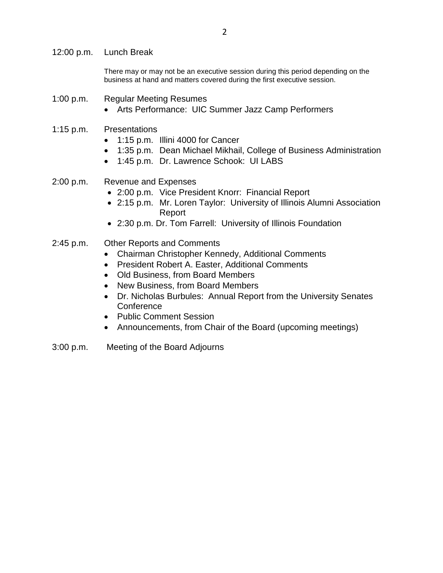12:00 p.m. Lunch Break

There may or may not be an executive session during this period depending on the business at hand and matters covered during the first executive session.

- 1:00 p.m. Regular Meeting Resumes
	- Arts Performance: UIC Summer Jazz Camp Performers
- 1:15 p.m. Presentations
	- 1:15 p.m. Illini 4000 for Cancer
	- 1:35 p.m. Dean Michael Mikhail, College of Business Administration
	- 1:45 p.m. Dr. Lawrence Schook: UI LABS
- 2:00 p.m. Revenue and Expenses
	- 2:00 p.m. Vice President Knorr: Financial Report
	- 2:15 p.m. Mr. Loren Taylor: University of Illinois Alumni Association Report
	- 2:30 p.m. Dr. Tom Farrell: University of Illinois Foundation

#### 2:45 p.m. Other Reports and Comments

- Chairman Christopher Kennedy, Additional Comments
- President Robert A. Easter, Additional Comments
- Old Business, from Board Members
- New Business, from Board Members
- Dr. Nicholas Burbules: Annual Report from the University Senates **Conference**
- Public Comment Session
- Announcements, from Chair of the Board (upcoming meetings)
- 3:00 p.m. Meeting of the Board Adjourns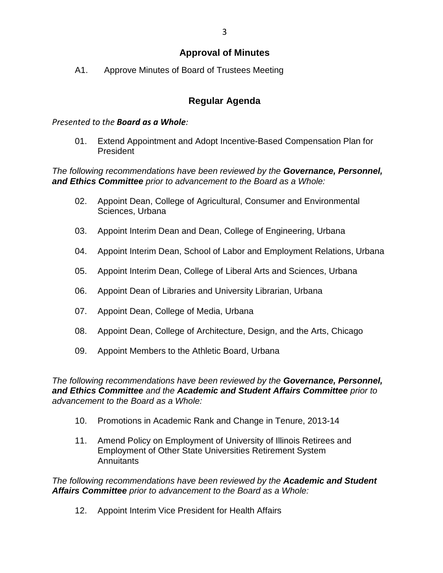### **Approval of Minutes**

A1. Approve Minutes of Board of Trustees Meeting

## **Regular Agenda**

### *Presented to the Board as a Whole:*

01. Extend Appointment and Adopt Incentive-Based Compensation Plan for President

*The following recommendations have been reviewed by the Governance, Personnel, and Ethics Committee prior to advancement to the Board as a Whole:*

- 02. Appoint Dean, College of Agricultural, Consumer and Environmental Sciences, Urbana
- 03. Appoint Interim Dean and Dean, College of Engineering, Urbana
- 04. Appoint Interim Dean, School of Labor and Employment Relations, Urbana
- 05. Appoint Interim Dean, College of Liberal Arts and Sciences, Urbana
- 06. Appoint Dean of Libraries and University Librarian, Urbana
- 07. Appoint Dean, College of Media, Urbana
- 08. Appoint Dean, College of Architecture, Design, and the Arts, Chicago
- 09. Appoint Members to the Athletic Board, Urbana

*The following recommendations have been reviewed by the Governance, Personnel, and Ethics Committee and the Academic and Student Affairs Committee prior to advancement to the Board as a Whole:*

- 10. Promotions in Academic Rank and Change in Tenure, 2013-14
- 11. Amend Policy on Employment of University of Illinois Retirees and Employment of Other State Universities Retirement System **Annuitants**

*The following recommendations have been reviewed by the Academic and Student Affairs Committee prior to advancement to the Board as a Whole:*

12. Appoint Interim Vice President for Health Affairs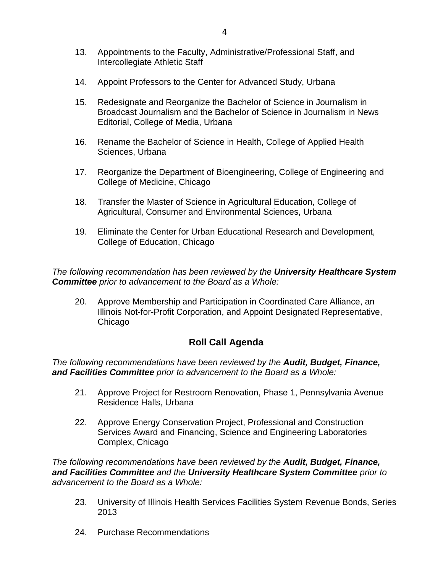- 13. Appointments to the Faculty, Administrative/Professional Staff, and Intercollegiate Athletic Staff
- 14. Appoint Professors to the Center for Advanced Study, Urbana
- 15. Redesignate and Reorganize the Bachelor of Science in Journalism in Broadcast Journalism and the Bachelor of Science in Journalism in News Editorial, College of Media, Urbana
- 16. Rename the Bachelor of Science in Health, College of Applied Health Sciences, Urbana
- 17. Reorganize the Department of Bioengineering, College of Engineering and College of Medicine, Chicago
- 18. Transfer the Master of Science in Agricultural Education, College of Agricultural, Consumer and Environmental Sciences, Urbana
- 19. Eliminate the Center for Urban Educational Research and Development, College of Education, Chicago

*The following recommendation has been reviewed by the University Healthcare System Committee prior to advancement to the Board as a Whole:*

20. Approve Membership and Participation in Coordinated Care Alliance, an Illinois Not-for-Profit Corporation, and Appoint Designated Representative, Chicago

## **Roll Call Agenda**

*The following recommendations have been reviewed by the Audit, Budget, Finance, and Facilities Committee prior to advancement to the Board as a Whole:*

- 21. Approve Project for Restroom Renovation, Phase 1, Pennsylvania Avenue Residence Halls, Urbana
- 22. Approve Energy Conservation Project, Professional and Construction Services Award and Financing, Science and Engineering Laboratories Complex, Chicago

*The following recommendations have been reviewed by the Audit, Budget, Finance, and Facilities Committee and the University Healthcare System Committee prior to advancement to the Board as a Whole:*

- 23. University of Illinois Health Services Facilities System Revenue Bonds, Series 2013
- 24. Purchase Recommendations